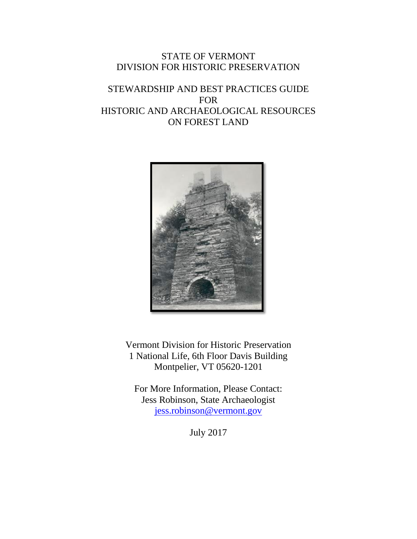## STATE OF VERMONT DIVISION FOR HISTORIC PRESERVATION

# STEWARDSHIP AND BEST PRACTICES GUIDE FOR HISTORIC AND ARCHAEOLOGICAL RESOURCES ON FOREST LAND



Vermont Division for Historic Preservation 1 National Life, 6th Floor Davis Building Montpelier, VT 05620-1201

For More Information, Please Contact: Jess Robinson, State Archaeologist <jess.robinson@vermont.gov>

July 2017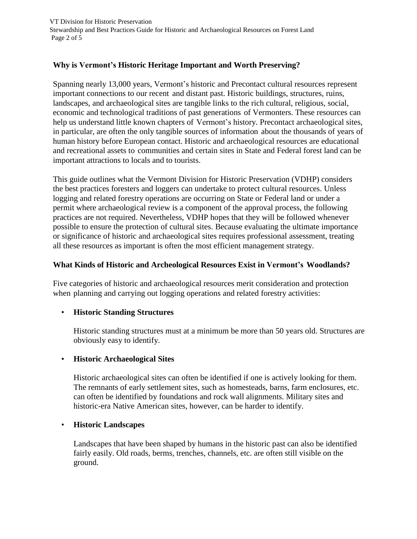## **Why is Vermont's Historic Heritage Important and Worth Preserving?**

Spanning nearly 13,000 years, Vermont's historic and Precontact cultural resources represent important connections to our recent and distant past. Historic buildings, structures, ruins, landscapes, and archaeological sites are tangible links to the rich cultural, religious, social, economic and technological traditions of past generations of Vermonters. These resources can help us understand little known chapters of Vermont's history. Precontact archaeological sites, in particular, are often the only tangible sources of information about the thousands of years of human history before European contact. Historic and archaeological resources are educational and recreational assets to communities and certain sites in State and Federal forest land can be important attractions to locals and to tourists.

This guide outlines what the Vermont Division for Historic Preservation (VDHP) considers the best practices foresters and loggers can undertake to protect cultural resources. Unless logging and related forestry operations are occurring on State or Federal land or under a permit where archaeological review is a component of the approval process, the following practices are not required. Nevertheless, VDHP hopes that they will be followed whenever possible to ensure the protection of cultural sites. Because evaluating the ultimate importance or significance of historic and archaeological sites requires professional assessment, treating all these resources as important is often the most efficient management strategy.

#### **What Kinds of Historic and Archeological Resources Exist in Vermont's Woodlands?**

Five categories of historic and archaeological resources merit consideration and protection when planning and carrying out logging operations and related forestry activities:

## • **Historic Standing Structures**

Historic standing structures must at a minimum be more than 50 years old. Structures are obviously easy to identify.

#### • **Historic Archaeological Sites**

Historic archaeological sites can often be identified if one is actively looking for them. The remnants of early settlement sites, such as homesteads, barns, farm enclosures, etc. can often be identified by foundations and rock wall alignments. Military sites and historic-era Native American sites, however, can be harder to identify.

#### • **Historic Landscapes**

Landscapes that have been shaped by humans in the historic past can also be identified fairly easily. Old roads, berms, trenches, channels, etc. are often still visible on the ground.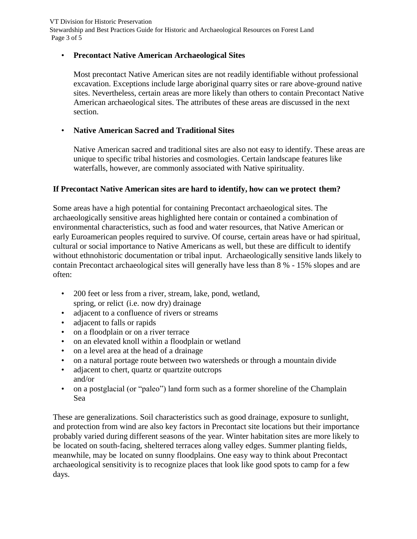VT Division for Historic Preservation Stewardship and Best Practices Guide for Historic and Archaeological Resources on Forest Land Page 3 of 5

#### • **Precontact Native American Archaeological Sites**

Most precontact Native American sites are not readily identifiable without professional excavation. Exceptions include large aboriginal quarry sites or rare above-ground native sites. Nevertheless, certain areas are more likely than others to contain Precontact Native American archaeological sites. The attributes of these areas are discussed in the next section.

#### • **Native American Sacred and Traditional Sites**

Native American sacred and traditional sites are also not easy to identify. These areas are unique to specific tribal histories and cosmologies. Certain landscape features like waterfalls, however, are commonly associated with Native spirituality.

#### **If Precontact Native American sites are hard to identify, how can we protect them?**

Some areas have a high potential for containing Precontact archaeological sites. The archaeologically sensitive areas highlighted here contain or contained a combination of environmental characteristics, such as food and water resources, that Native American or early Euroamerican peoples required to survive. Of course, certain areas have or had spiritual, cultural or social importance to Native Americans as well, but these are difficult to identify without ethnohistoric documentation or tribal input. Archaeologically sensitive lands likely to contain Precontact archaeological sites will generally have less than 8 % - 15% slopes and are often:

- 200 feet or less from a river, stream, lake, pond, wetland, spring, or relict (i.e. now dry) drainage
- adjacent to a confluence of rivers or streams
- adjacent to falls or rapids
- on a floodplain or on a river terrace
- on an elevated knoll within a floodplain or wetland
- on a level area at the head of a drainage
- on a natural portage route between two watersheds or through a mountain divide
- adjacent to chert, quartz or quartzite outcrops and/or
- on a postglacial (or "paleo") land form such as a former shoreline of the Champlain Sea

These are generalizations. Soil characteristics such as good drainage, exposure to sunlight, and protection from wind are also key factors in Precontact site locations but their importance probably varied during different seasons of the year. Winter habitation sites are more likely to be located on south-facing, sheltered terraces along valley edges. Summer planting fields, meanwhile, may be located on sunny floodplains. One easy way to think about Precontact archaeological sensitivity is to recognize places that look like good spots to camp for a few days.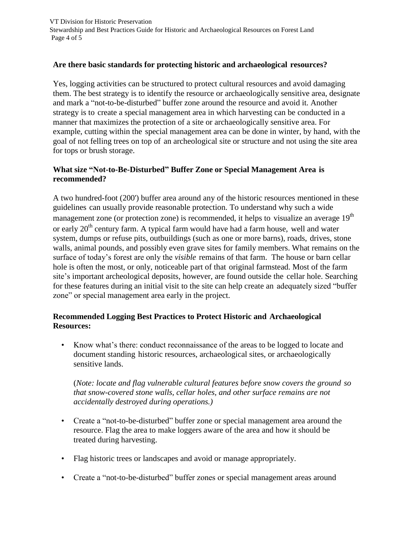VT Division for Historic Preservation Stewardship and Best Practices Guide for Historic and Archaeological Resources on Forest Land Page 4 of 5

#### **Are there basic standards for protecting historic and archaeological resources?**

Yes, logging activities can be structured to protect cultural resources and avoid damaging them. The best strategy is to identify the resource or archaeologically sensitive area, designate and mark a "not-to-be-disturbed" buffer zone around the resource and avoid it. Another strategy is to create a special management area in which harvesting can be conducted in a manner that maximizes the protection of a site or archaeologically sensitive area. For example, cutting within the special management area can be done in winter, by hand, with the goal of not felling trees on top of an archeological site or structure and not using the site area for tops or brush storage.

#### **What size "Not-to-Be-Disturbed" Buffer Zone or Special Management Area is recommended?**

A two hundred-foot (200') buffer area around any of the historic resources mentioned in these guidelines can usually provide reasonable protection. To understand why such a wide management zone (or protection zone) is recommended, it helps to visualize an average  $19<sup>th</sup>$ or early  $20<sup>th</sup>$  century farm. A typical farm would have had a farm house, well and water system, dumps or refuse pits, outbuildings (such as one or more barns), roads, drives, stone walls, animal pounds, and possibly even grave sites for family members. What remains on the surface of today's forest are only the *visible* remains of that farm. The house or barn cellar hole is often the most, or only, noticeable part of that original farmstead. Most of the farm site's important archeological deposits, however, are found outside the cellar hole. Searching for these features during an initial visit to the site can help create an adequately sized "buffer zone" or special management area early in the project.

#### **Recommended Logging Best Practices to Protect Historic and Archaeological Resources:**

• Know what's there: conduct reconnaissance of the areas to be logged to locate and document standing historic resources, archaeological sites, or archaeologically sensitive lands.

(*Note: locate and flag vulnerable cultural features before snow covers the ground so that snow-covered stone walls, cellar holes, and other surface remains are not accidentally destroyed during operations.)*

- Create a "not-to-be-disturbed" buffer zone or special management area around the resource. Flag the area to make loggers aware of the area and how it should be treated during harvesting.
- Flag historic trees or landscapes and avoid or manage appropriately.
- Create a "not-to-be-disturbed" buffer zones or special management areas around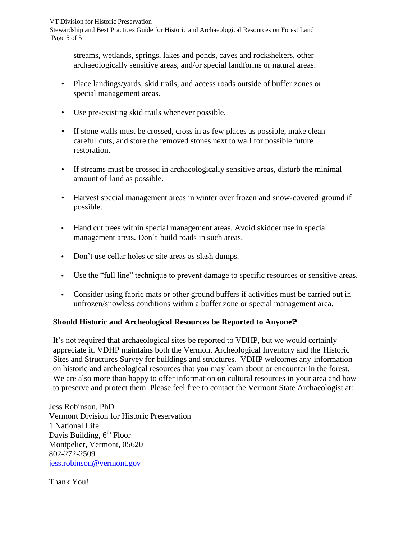VT Division for Historic Preservation

Stewardship and Best Practices Guide for Historic and Archaeological Resources on Forest Land Page 5 of 5

streams, wetlands, springs, lakes and ponds, caves and rockshelters, other archaeologically sensitive areas, and/or special landforms or natural areas.

- Place landings/yards, skid trails, and access roads outside of buffer zones or special management areas.
- Use pre-existing skid trails whenever possible.
- If stone walls must be crossed, cross in as few places as possible, make clean careful cuts, and store the removed stones next to wall for possible future restoration.
- If streams must be crossed in archaeologically sensitive areas, disturb the minimal amount of land as possible.
- Harvest special management areas in winter over frozen and snow-covered ground if possible.
- **•** Hand cut trees within special management areas. Avoid skidder use in special management areas. Don't build roads in such areas.
- **•** Don't use cellar holes or site areas as slash dumps.
- **•** Use the "full line" technique to prevent damage to specific resources or sensitive areas.
- **•** Consider using fabric mats or other ground buffers if activities must be carried out in unfrozen/snowless conditions within a buffer zone or special management area.

## **Should Historic and Archeological Resources be Reported to Anyone?**

It's not required that archaeological sites be reported to VDHP, but we would certainly appreciate it. VDHP maintains both the Vermont Archeological Inventory and the Historic Sites and Structures Survey for buildings and structures. VDHP welcomes any information on historic and archeological resources that you may learn about or encounter in the forest. We are also more than happy to offer information on cultural resources in your area and how to preserve and protect them. Please feel free to contact the Vermont State Archaeologist at:

Jess Robinson, PhD Vermont Division for Historic Preservation 1 National Life Davis Building, 6<sup>th</sup> Floor Montpelier, Vermont, 05620 802-272-2509 [jess.robinson@vermont.gov](mailto:jess.robinson@vermont.gov)

Thank You!